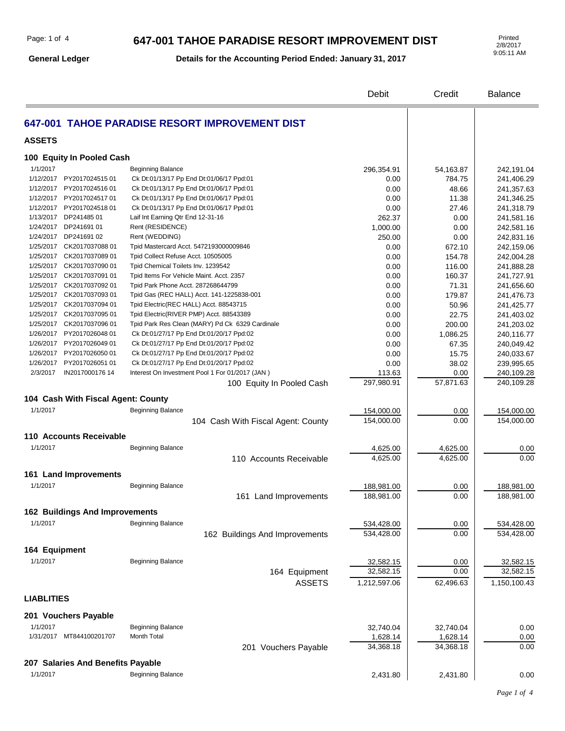### **647-001 TAHOE PARADISE RESORT IMPROVEMENT DIST**

**General Ledger**

**Details for the Accounting Period Ended: January 31, 2017**

2/8/2017 9:05:11 AM

|                                       |                 |                                                                                      |                                                | Debit        | Credit         | <b>Balance</b>           |
|---------------------------------------|-----------------|--------------------------------------------------------------------------------------|------------------------------------------------|--------------|----------------|--------------------------|
|                                       |                 |                                                                                      | 647-001 TAHOE PARADISE RESORT IMPROVEMENT DIST |              |                |                          |
| <b>ASSETS</b>                         |                 |                                                                                      |                                                |              |                |                          |
| 100 Equity In Pooled Cash             |                 |                                                                                      |                                                |              |                |                          |
|                                       |                 |                                                                                      |                                                |              |                |                          |
| 1/1/2017<br>1/12/2017                 | PY201702451501  | <b>Beginning Balance</b>                                                             |                                                | 296,354.91   | 54,163.87      | 242,191.04               |
| 1/12/2017 PY2017024516 01             |                 | Ck Dt:01/13/17 Pp End Dt:01/06/17 Ppd:01<br>Ck Dt:01/13/17 Pp End Dt:01/06/17 Ppd:01 |                                                | 0.00         | 784.75         | 241,406.29               |
| 1/12/2017 PY2017024517 01             |                 | Ck Dt:01/13/17 Pp End Dt:01/06/17 Ppd:01                                             |                                                | 0.00<br>0.00 | 48.66<br>11.38 | 241,357.63<br>241,346.25 |
| 1/12/2017 PY2017024518 01             |                 | Ck Dt:01/13/17 Pp End Dt:01/06/17 Ppd:01                                             |                                                | 0.00         | 27.46          | 241,318.79               |
| 1/13/2017 DP241485 01                 |                 | Laif Int Earning Qtr End 12-31-16                                                    |                                                | 262.37       | 0.00           | 241,581.16               |
| 1/24/2017 DP241691 01                 |                 | Rent (RESIDENCE)                                                                     |                                                | 1,000.00     | 0.00           | 242,581.16               |
| 1/24/2017 DP241691 02                 |                 | Rent (WEDDING)                                                                       |                                                | 250.00       | 0.00           | 242,831.16               |
| 1/25/2017 CK2017037088 01             |                 | Tpid Mastercard Acct. 5472193000009846                                               |                                                | 0.00         | 672.10         | 242,159.06               |
| 1/25/2017 CK2017037089 01             |                 | Tpid Collect Refuse Acct. 10505005                                                   |                                                | 0.00         | 154.78         | 242,004.28               |
| 1/25/2017 CK2017037090 01             |                 | Tpid Chemical Toilets Inv. 1239542                                                   |                                                | 0.00         | 116.00         | 241,888.28               |
| 1/25/2017 CK2017037091 01             |                 | Tpid Items For Vehicle Maint. Acct. 2357                                             |                                                | 0.00         | 160.37         | 241,727.91               |
| 1/25/2017 CK2017037092 01             |                 | Tpid Park Phone Acct. 287268644799                                                   |                                                | 0.00         | 71.31          | 241,656.60               |
| 1/25/2017 CK2017037093 01             |                 | Tpid Gas (REC HALL) Acct. 141-1225838-001                                            |                                                | 0.00         | 179.87         | 241,476.73               |
| 1/25/2017 CK2017037094 01             |                 | Tpid Electric(REC HALL) Acct. 88543715                                               |                                                | 0.00         | 50.96          | 241,425.77               |
| 1/25/2017 CK2017037095 01             |                 | Tpid Electric(RIVER PMP) Acct. 88543389                                              |                                                | 0.00         | 22.75          | 241,403.02               |
| 1/25/2017 CK2017037096 01             |                 | Tpid Park Res Clean (MARY) Pd Ck 6329 Cardinale                                      |                                                | 0.00         | 200.00         | 241,203.02               |
| 1/26/2017 PY2017026048 01             |                 | Ck Dt:01/27/17 Pp End Dt:01/20/17 Ppd:02                                             |                                                | 0.00         | 1,086.25       | 240,116.77               |
| 1/26/2017 PY2017026049 01             |                 | Ck Dt:01/27/17 Pp End Dt:01/20/17 Ppd:02                                             |                                                | 0.00         | 67.35          | 240,049.42               |
| 1/26/2017 PY2017026050 01             |                 | Ck Dt:01/27/17 Pp End Dt:01/20/17 Ppd:02                                             |                                                | 0.00         | 15.75          | 240,033.67               |
| 1/26/2017 PY2017026051 01             |                 | Ck Dt:01/27/17 Pp End Dt:01/20/17 Ppd:02                                             |                                                | 0.00         | 38.02          | 239,995.65               |
| 2/3/2017                              | IN2017000176 14 | Interest On Investment Pool 1 For 01/2017 (JAN)                                      |                                                | 113.63       | 0.00           | 240,109.28               |
|                                       |                 |                                                                                      | 100 Equity In Pooled Cash                      | 297,980.91   | 57,871.63      | 240,109.28               |
| 104 Cash With Fiscal Agent: County    |                 |                                                                                      |                                                |              |                |                          |
| 1/1/2017                              |                 | <b>Beginning Balance</b>                                                             |                                                | 154,000.00   | 0.00           | 154,000.00               |
|                                       |                 |                                                                                      | 104 Cash With Fiscal Agent: County             | 154,000.00   | 0.00           | 154,000.00               |
| 110 Accounts Receivable               |                 |                                                                                      |                                                |              |                |                          |
| 1/1/2017                              |                 | <b>Beginning Balance</b>                                                             |                                                | 4,625.00     | 4,625.00       | 0.00                     |
|                                       |                 |                                                                                      | 110 Accounts Receivable                        | 4,625.00     | 4,625.00       | 0.00                     |
| 161 Land Improvements                 |                 |                                                                                      |                                                |              |                |                          |
|                                       |                 |                                                                                      |                                                |              |                |                          |
| 1/1/2017                              |                 | <b>Beginning Balance</b>                                                             |                                                | 188,981.00   | 0.00           | 188,981.00               |
|                                       |                 |                                                                                      | 161 Land Improvements                          | 188,981.00   | 0.00           | 188,981.00               |
| <b>162 Buildings And Improvements</b> |                 |                                                                                      |                                                |              |                |                          |
| 1/1/2017                              |                 | <b>Beginning Balance</b>                                                             |                                                | 534,428.00   | 0.00           | 534,428.00               |
|                                       |                 |                                                                                      | 162 Buildings And Improvements                 | 534,428.00   | 0.00           | 534,428.00               |
| 164 Equipment                         |                 |                                                                                      |                                                |              |                |                          |
| 1/1/2017                              |                 | Beginning Balance                                                                    |                                                | 32,582.15    | 0.00           | 32,582.15                |
|                                       |                 |                                                                                      |                                                | 32,582.15    | 0.00           | 32,582.15                |
|                                       |                 |                                                                                      | 164 Equipment<br><b>ASSETS</b>                 | 1,212,597.06 | 62,496.63      | 1,150,100.43             |
|                                       |                 |                                                                                      |                                                |              |                |                          |
| <b>LIABLITIES</b>                     |                 |                                                                                      |                                                |              |                |                          |
| 201 Vouchers Payable                  |                 |                                                                                      |                                                |              |                |                          |
| 1/1/2017                              |                 | Beginning Balance                                                                    |                                                | 32,740.04    | 32,740.04      | 0.00                     |
| 1/31/2017 MT844100201707              |                 | Month Total                                                                          |                                                | 1,628.14     | 1,628.14       | 0.00                     |
|                                       |                 |                                                                                      | 201 Vouchers Payable                           | 34,368.18    | 34,368.18      | 0.00                     |
| 207 Salaries And Benefits Payable     |                 |                                                                                      |                                                |              |                |                          |
| 1/1/2017                              |                 | Beginning Balance                                                                    |                                                |              |                |                          |
|                                       |                 |                                                                                      |                                                | 2,431.80     | 2,431.80       | 0.00                     |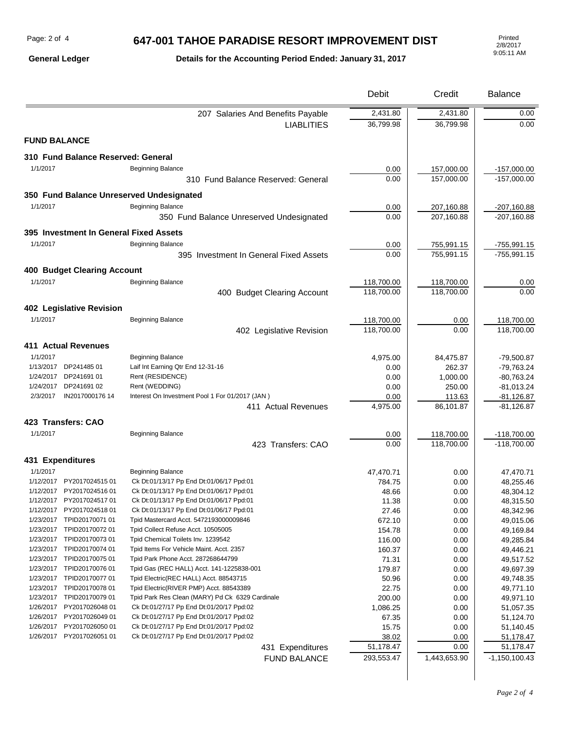### **647-001 TAHOE PARADISE RESORT IMPROVEMENT DIST**

**General Ledger**

## **Details for the Accounting Period Ended: January 31, 2017**

| 2,431.80<br>207 Salaries And Benefits Payable<br>2,431.80<br>0.00<br>36,799.98<br>36,799.98<br>0.00<br><b>LIABLITIES</b><br><b>FUND BALANCE</b><br>310 Fund Balance Reserved: General<br>1/1/2017<br><b>Beginning Balance</b><br>157,000.00<br>0.00<br>$-157,000.00$<br>310 Fund Balance Reserved: General<br>0.00<br>157,000.00<br>$-157,000.00$<br>350 Fund Balance Unreserved Undesignated<br><b>Beginning Balance</b><br>1/1/2017<br>0.00<br>207,160.88<br>$-207,160.88$<br>207,160.88<br>$-207,160.88$<br>0.00<br>350 Fund Balance Unreserved Undesignated<br>395 Investment In General Fixed Assets<br>1/1/2017<br><b>Beginning Balance</b><br>0.00<br>755,991.15<br>-755,991.15<br>$-755,991.15$<br>755,991.15<br>0.00<br>395 Investment In General Fixed Assets<br><b>400 Budget Clearing Account</b><br>1/1/2017<br><b>Beginning Balance</b><br>118,700.00<br>118,700.00<br>0.00<br>118,700.00<br>118,700.00<br>0.00<br>400 Budget Clearing Account<br>402 Legislative Revision<br>1/1/2017<br><b>Beginning Balance</b><br>118,700.00<br>0.00<br>118,700.00<br>118,700.00<br>118,700.00<br>0.00<br>402 Legislative Revision<br><b>411 Actual Revenues</b><br><b>Beginning Balance</b><br>1/1/2017<br>4,975.00<br>84,475.87<br>-79,500.87<br>1/13/2017 DP241485 01<br>Laif Int Earning Qtr End 12-31-16<br>262.37<br>0.00<br>$-79,763.24$<br>Rent (RESIDENCE)<br>1/24/2017 DP241691 01<br>0.00<br>1,000.00<br>$-80,763.24$<br>1/24/2017 DP241691 02<br>Rent (WEDDING)<br>0.00<br>250.00<br>$-81,013.24$<br>2/3/2017<br>IN2017000176 14<br>Interest On Investment Pool 1 For 01/2017 (JAN)<br>0.00<br>$-81,126.87$<br>113.63<br>4,975.00<br>86,101.87<br>$-81,126.87$<br>411 Actual Revenues<br>423 Transfers: CAO<br>1/1/2017<br><b>Beginning Balance</b><br>118,700.00<br>0.00<br>$-118,700.00$<br>118,700.00<br>$-118.700.00$<br>423 Transfers: CAO<br>0.00<br>431 Expenditures<br>1/1/2017<br><b>Beginning Balance</b><br>47,470.71<br>0.00<br>47,470.71<br>Ck Dt:01/13/17 Pp End Dt:01/06/17 Ppd:01<br>1/12/2017 PY2017024515 01<br>784.75<br>48,255.46<br>0.00<br>Ck Dt:01/13/17 Pp End Dt:01/06/17 Ppd:01<br>1/12/2017 PY2017024516 01<br>48.66<br>0.00<br>48,304.12 |
|------------------------------------------------------------------------------------------------------------------------------------------------------------------------------------------------------------------------------------------------------------------------------------------------------------------------------------------------------------------------------------------------------------------------------------------------------------------------------------------------------------------------------------------------------------------------------------------------------------------------------------------------------------------------------------------------------------------------------------------------------------------------------------------------------------------------------------------------------------------------------------------------------------------------------------------------------------------------------------------------------------------------------------------------------------------------------------------------------------------------------------------------------------------------------------------------------------------------------------------------------------------------------------------------------------------------------------------------------------------------------------------------------------------------------------------------------------------------------------------------------------------------------------------------------------------------------------------------------------------------------------------------------------------------------------------------------------------------------------------------------------------------------------------------------------------------------------------------------------------------------------------------------------------------------------------------------------------------------------------------------------------------------------------------------------------------------------------------------------------------------------------------------------------------------------|
|                                                                                                                                                                                                                                                                                                                                                                                                                                                                                                                                                                                                                                                                                                                                                                                                                                                                                                                                                                                                                                                                                                                                                                                                                                                                                                                                                                                                                                                                                                                                                                                                                                                                                                                                                                                                                                                                                                                                                                                                                                                                                                                                                                                    |
|                                                                                                                                                                                                                                                                                                                                                                                                                                                                                                                                                                                                                                                                                                                                                                                                                                                                                                                                                                                                                                                                                                                                                                                                                                                                                                                                                                                                                                                                                                                                                                                                                                                                                                                                                                                                                                                                                                                                                                                                                                                                                                                                                                                    |
|                                                                                                                                                                                                                                                                                                                                                                                                                                                                                                                                                                                                                                                                                                                                                                                                                                                                                                                                                                                                                                                                                                                                                                                                                                                                                                                                                                                                                                                                                                                                                                                                                                                                                                                                                                                                                                                                                                                                                                                                                                                                                                                                                                                    |
|                                                                                                                                                                                                                                                                                                                                                                                                                                                                                                                                                                                                                                                                                                                                                                                                                                                                                                                                                                                                                                                                                                                                                                                                                                                                                                                                                                                                                                                                                                                                                                                                                                                                                                                                                                                                                                                                                                                                                                                                                                                                                                                                                                                    |
|                                                                                                                                                                                                                                                                                                                                                                                                                                                                                                                                                                                                                                                                                                                                                                                                                                                                                                                                                                                                                                                                                                                                                                                                                                                                                                                                                                                                                                                                                                                                                                                                                                                                                                                                                                                                                                                                                                                                                                                                                                                                                                                                                                                    |
|                                                                                                                                                                                                                                                                                                                                                                                                                                                                                                                                                                                                                                                                                                                                                                                                                                                                                                                                                                                                                                                                                                                                                                                                                                                                                                                                                                                                                                                                                                                                                                                                                                                                                                                                                                                                                                                                                                                                                                                                                                                                                                                                                                                    |
|                                                                                                                                                                                                                                                                                                                                                                                                                                                                                                                                                                                                                                                                                                                                                                                                                                                                                                                                                                                                                                                                                                                                                                                                                                                                                                                                                                                                                                                                                                                                                                                                                                                                                                                                                                                                                                                                                                                                                                                                                                                                                                                                                                                    |
|                                                                                                                                                                                                                                                                                                                                                                                                                                                                                                                                                                                                                                                                                                                                                                                                                                                                                                                                                                                                                                                                                                                                                                                                                                                                                                                                                                                                                                                                                                                                                                                                                                                                                                                                                                                                                                                                                                                                                                                                                                                                                                                                                                                    |
|                                                                                                                                                                                                                                                                                                                                                                                                                                                                                                                                                                                                                                                                                                                                                                                                                                                                                                                                                                                                                                                                                                                                                                                                                                                                                                                                                                                                                                                                                                                                                                                                                                                                                                                                                                                                                                                                                                                                                                                                                                                                                                                                                                                    |
|                                                                                                                                                                                                                                                                                                                                                                                                                                                                                                                                                                                                                                                                                                                                                                                                                                                                                                                                                                                                                                                                                                                                                                                                                                                                                                                                                                                                                                                                                                                                                                                                                                                                                                                                                                                                                                                                                                                                                                                                                                                                                                                                                                                    |
|                                                                                                                                                                                                                                                                                                                                                                                                                                                                                                                                                                                                                                                                                                                                                                                                                                                                                                                                                                                                                                                                                                                                                                                                                                                                                                                                                                                                                                                                                                                                                                                                                                                                                                                                                                                                                                                                                                                                                                                                                                                                                                                                                                                    |
|                                                                                                                                                                                                                                                                                                                                                                                                                                                                                                                                                                                                                                                                                                                                                                                                                                                                                                                                                                                                                                                                                                                                                                                                                                                                                                                                                                                                                                                                                                                                                                                                                                                                                                                                                                                                                                                                                                                                                                                                                                                                                                                                                                                    |
|                                                                                                                                                                                                                                                                                                                                                                                                                                                                                                                                                                                                                                                                                                                                                                                                                                                                                                                                                                                                                                                                                                                                                                                                                                                                                                                                                                                                                                                                                                                                                                                                                                                                                                                                                                                                                                                                                                                                                                                                                                                                                                                                                                                    |
|                                                                                                                                                                                                                                                                                                                                                                                                                                                                                                                                                                                                                                                                                                                                                                                                                                                                                                                                                                                                                                                                                                                                                                                                                                                                                                                                                                                                                                                                                                                                                                                                                                                                                                                                                                                                                                                                                                                                                                                                                                                                                                                                                                                    |
|                                                                                                                                                                                                                                                                                                                                                                                                                                                                                                                                                                                                                                                                                                                                                                                                                                                                                                                                                                                                                                                                                                                                                                                                                                                                                                                                                                                                                                                                                                                                                                                                                                                                                                                                                                                                                                                                                                                                                                                                                                                                                                                                                                                    |
|                                                                                                                                                                                                                                                                                                                                                                                                                                                                                                                                                                                                                                                                                                                                                                                                                                                                                                                                                                                                                                                                                                                                                                                                                                                                                                                                                                                                                                                                                                                                                                                                                                                                                                                                                                                                                                                                                                                                                                                                                                                                                                                                                                                    |
|                                                                                                                                                                                                                                                                                                                                                                                                                                                                                                                                                                                                                                                                                                                                                                                                                                                                                                                                                                                                                                                                                                                                                                                                                                                                                                                                                                                                                                                                                                                                                                                                                                                                                                                                                                                                                                                                                                                                                                                                                                                                                                                                                                                    |
|                                                                                                                                                                                                                                                                                                                                                                                                                                                                                                                                                                                                                                                                                                                                                                                                                                                                                                                                                                                                                                                                                                                                                                                                                                                                                                                                                                                                                                                                                                                                                                                                                                                                                                                                                                                                                                                                                                                                                                                                                                                                                                                                                                                    |
|                                                                                                                                                                                                                                                                                                                                                                                                                                                                                                                                                                                                                                                                                                                                                                                                                                                                                                                                                                                                                                                                                                                                                                                                                                                                                                                                                                                                                                                                                                                                                                                                                                                                                                                                                                                                                                                                                                                                                                                                                                                                                                                                                                                    |
|                                                                                                                                                                                                                                                                                                                                                                                                                                                                                                                                                                                                                                                                                                                                                                                                                                                                                                                                                                                                                                                                                                                                                                                                                                                                                                                                                                                                                                                                                                                                                                                                                                                                                                                                                                                                                                                                                                                                                                                                                                                                                                                                                                                    |
|                                                                                                                                                                                                                                                                                                                                                                                                                                                                                                                                                                                                                                                                                                                                                                                                                                                                                                                                                                                                                                                                                                                                                                                                                                                                                                                                                                                                                                                                                                                                                                                                                                                                                                                                                                                                                                                                                                                                                                                                                                                                                                                                                                                    |
|                                                                                                                                                                                                                                                                                                                                                                                                                                                                                                                                                                                                                                                                                                                                                                                                                                                                                                                                                                                                                                                                                                                                                                                                                                                                                                                                                                                                                                                                                                                                                                                                                                                                                                                                                                                                                                                                                                                                                                                                                                                                                                                                                                                    |
|                                                                                                                                                                                                                                                                                                                                                                                                                                                                                                                                                                                                                                                                                                                                                                                                                                                                                                                                                                                                                                                                                                                                                                                                                                                                                                                                                                                                                                                                                                                                                                                                                                                                                                                                                                                                                                                                                                                                                                                                                                                                                                                                                                                    |
|                                                                                                                                                                                                                                                                                                                                                                                                                                                                                                                                                                                                                                                                                                                                                                                                                                                                                                                                                                                                                                                                                                                                                                                                                                                                                                                                                                                                                                                                                                                                                                                                                                                                                                                                                                                                                                                                                                                                                                                                                                                                                                                                                                                    |
|                                                                                                                                                                                                                                                                                                                                                                                                                                                                                                                                                                                                                                                                                                                                                                                                                                                                                                                                                                                                                                                                                                                                                                                                                                                                                                                                                                                                                                                                                                                                                                                                                                                                                                                                                                                                                                                                                                                                                                                                                                                                                                                                                                                    |
|                                                                                                                                                                                                                                                                                                                                                                                                                                                                                                                                                                                                                                                                                                                                                                                                                                                                                                                                                                                                                                                                                                                                                                                                                                                                                                                                                                                                                                                                                                                                                                                                                                                                                                                                                                                                                                                                                                                                                                                                                                                                                                                                                                                    |
|                                                                                                                                                                                                                                                                                                                                                                                                                                                                                                                                                                                                                                                                                                                                                                                                                                                                                                                                                                                                                                                                                                                                                                                                                                                                                                                                                                                                                                                                                                                                                                                                                                                                                                                                                                                                                                                                                                                                                                                                                                                                                                                                                                                    |
|                                                                                                                                                                                                                                                                                                                                                                                                                                                                                                                                                                                                                                                                                                                                                                                                                                                                                                                                                                                                                                                                                                                                                                                                                                                                                                                                                                                                                                                                                                                                                                                                                                                                                                                                                                                                                                                                                                                                                                                                                                                                                                                                                                                    |
|                                                                                                                                                                                                                                                                                                                                                                                                                                                                                                                                                                                                                                                                                                                                                                                                                                                                                                                                                                                                                                                                                                                                                                                                                                                                                                                                                                                                                                                                                                                                                                                                                                                                                                                                                                                                                                                                                                                                                                                                                                                                                                                                                                                    |
|                                                                                                                                                                                                                                                                                                                                                                                                                                                                                                                                                                                                                                                                                                                                                                                                                                                                                                                                                                                                                                                                                                                                                                                                                                                                                                                                                                                                                                                                                                                                                                                                                                                                                                                                                                                                                                                                                                                                                                                                                                                                                                                                                                                    |
|                                                                                                                                                                                                                                                                                                                                                                                                                                                                                                                                                                                                                                                                                                                                                                                                                                                                                                                                                                                                                                                                                                                                                                                                                                                                                                                                                                                                                                                                                                                                                                                                                                                                                                                                                                                                                                                                                                                                                                                                                                                                                                                                                                                    |
|                                                                                                                                                                                                                                                                                                                                                                                                                                                                                                                                                                                                                                                                                                                                                                                                                                                                                                                                                                                                                                                                                                                                                                                                                                                                                                                                                                                                                                                                                                                                                                                                                                                                                                                                                                                                                                                                                                                                                                                                                                                                                                                                                                                    |
|                                                                                                                                                                                                                                                                                                                                                                                                                                                                                                                                                                                                                                                                                                                                                                                                                                                                                                                                                                                                                                                                                                                                                                                                                                                                                                                                                                                                                                                                                                                                                                                                                                                                                                                                                                                                                                                                                                                                                                                                                                                                                                                                                                                    |
| Ck Dt:01/13/17 Pp End Dt:01/06/17 Ppd:01<br>1/12/2017 PY2017024517 01<br>11.38<br>0.00<br>48,315.50                                                                                                                                                                                                                                                                                                                                                                                                                                                                                                                                                                                                                                                                                                                                                                                                                                                                                                                                                                                                                                                                                                                                                                                                                                                                                                                                                                                                                                                                                                                                                                                                                                                                                                                                                                                                                                                                                                                                                                                                                                                                                |
| Ck Dt:01/13/17 Pp End Dt:01/06/17 Ppd:01<br>1/12/2017<br>PY201702451801<br>27.46<br>0.00<br>48,342.96                                                                                                                                                                                                                                                                                                                                                                                                                                                                                                                                                                                                                                                                                                                                                                                                                                                                                                                                                                                                                                                                                                                                                                                                                                                                                                                                                                                                                                                                                                                                                                                                                                                                                                                                                                                                                                                                                                                                                                                                                                                                              |
| 1/23/2017 TPID20170071 01<br>Tpid Mastercard Acct. 5472193000009846<br>672.10<br>0.00<br>49,015.06                                                                                                                                                                                                                                                                                                                                                                                                                                                                                                                                                                                                                                                                                                                                                                                                                                                                                                                                                                                                                                                                                                                                                                                                                                                                                                                                                                                                                                                                                                                                                                                                                                                                                                                                                                                                                                                                                                                                                                                                                                                                                 |
| 1/23/2017 TPID20170072 01<br>Tpid Collect Refuse Acct. 10505005<br>154.78<br>0.00<br>49,169.84                                                                                                                                                                                                                                                                                                                                                                                                                                                                                                                                                                                                                                                                                                                                                                                                                                                                                                                                                                                                                                                                                                                                                                                                                                                                                                                                                                                                                                                                                                                                                                                                                                                                                                                                                                                                                                                                                                                                                                                                                                                                                     |
| 1/23/2017 TPID20170073 01<br>Tpid Chemical Toilets Inv. 1239542<br>0.00<br>116.00<br>49,285.84                                                                                                                                                                                                                                                                                                                                                                                                                                                                                                                                                                                                                                                                                                                                                                                                                                                                                                                                                                                                                                                                                                                                                                                                                                                                                                                                                                                                                                                                                                                                                                                                                                                                                                                                                                                                                                                                                                                                                                                                                                                                                     |
| 1/23/2017 TPID20170074 01<br>Tpid Items For Vehicle Maint. Acct. 2357<br>160.37<br>0.00<br>49,446.21                                                                                                                                                                                                                                                                                                                                                                                                                                                                                                                                                                                                                                                                                                                                                                                                                                                                                                                                                                                                                                                                                                                                                                                                                                                                                                                                                                                                                                                                                                                                                                                                                                                                                                                                                                                                                                                                                                                                                                                                                                                                               |
| 1/23/2017 TPID20170075 01<br>Tpid Park Phone Acct. 287268644799<br>71.31<br>0.00<br>49,517.52                                                                                                                                                                                                                                                                                                                                                                                                                                                                                                                                                                                                                                                                                                                                                                                                                                                                                                                                                                                                                                                                                                                                                                                                                                                                                                                                                                                                                                                                                                                                                                                                                                                                                                                                                                                                                                                                                                                                                                                                                                                                                      |
| 1/23/2017 TPID20170076 01<br>Tpid Gas (REC HALL) Acct. 141-1225838-001<br>179.87<br>0.00<br>49,697.39                                                                                                                                                                                                                                                                                                                                                                                                                                                                                                                                                                                                                                                                                                                                                                                                                                                                                                                                                                                                                                                                                                                                                                                                                                                                                                                                                                                                                                                                                                                                                                                                                                                                                                                                                                                                                                                                                                                                                                                                                                                                              |
| 1/23/2017 TPID20170077 01<br>Tpid Electric(REC HALL) Acct. 88543715<br>50.96<br>0.00<br>49,748.35                                                                                                                                                                                                                                                                                                                                                                                                                                                                                                                                                                                                                                                                                                                                                                                                                                                                                                                                                                                                                                                                                                                                                                                                                                                                                                                                                                                                                                                                                                                                                                                                                                                                                                                                                                                                                                                                                                                                                                                                                                                                                  |
| 1/23/2017 TPID20170078 01<br>Tpid Electric(RIVER PMP) Acct. 88543389<br>22.75<br>0.00<br>49,771.10                                                                                                                                                                                                                                                                                                                                                                                                                                                                                                                                                                                                                                                                                                                                                                                                                                                                                                                                                                                                                                                                                                                                                                                                                                                                                                                                                                                                                                                                                                                                                                                                                                                                                                                                                                                                                                                                                                                                                                                                                                                                                 |
| 1/23/2017 TPID20170079 01<br>Tpid Park Res Clean (MARY) Pd Ck 6329 Cardinale<br>200.00<br>0.00<br>49,971.10                                                                                                                                                                                                                                                                                                                                                                                                                                                                                                                                                                                                                                                                                                                                                                                                                                                                                                                                                                                                                                                                                                                                                                                                                                                                                                                                                                                                                                                                                                                                                                                                                                                                                                                                                                                                                                                                                                                                                                                                                                                                        |
| 1/26/2017 PY2017026048 01<br>Ck Dt:01/27/17 Pp End Dt:01/20/17 Ppd:02<br>1,086.25<br>0.00<br>51,057.35                                                                                                                                                                                                                                                                                                                                                                                                                                                                                                                                                                                                                                                                                                                                                                                                                                                                                                                                                                                                                                                                                                                                                                                                                                                                                                                                                                                                                                                                                                                                                                                                                                                                                                                                                                                                                                                                                                                                                                                                                                                                             |
| 1/26/2017<br>PY2017026049 01<br>Ck Dt:01/27/17 Pp End Dt:01/20/17 Ppd:02<br>0.00<br>67.35<br>51,124.70                                                                                                                                                                                                                                                                                                                                                                                                                                                                                                                                                                                                                                                                                                                                                                                                                                                                                                                                                                                                                                                                                                                                                                                                                                                                                                                                                                                                                                                                                                                                                                                                                                                                                                                                                                                                                                                                                                                                                                                                                                                                             |
| PY2017026050 01<br>Ck Dt:01/27/17 Pp End Dt:01/20/17 Ppd:02<br>1/26/2017<br>15.75<br>0.00<br>51,140.45<br>Ck Dt:01/27/17 Pp End Dt:01/20/17 Ppd:02<br>1/26/2017 PY2017026051 01                                                                                                                                                                                                                                                                                                                                                                                                                                                                                                                                                                                                                                                                                                                                                                                                                                                                                                                                                                                                                                                                                                                                                                                                                                                                                                                                                                                                                                                                                                                                                                                                                                                                                                                                                                                                                                                                                                                                                                                                    |
| 38.02<br>0.00<br>51,178.47<br>51,178.47<br>0.00<br>51,178.47<br>431 Expenditures                                                                                                                                                                                                                                                                                                                                                                                                                                                                                                                                                                                                                                                                                                                                                                                                                                                                                                                                                                                                                                                                                                                                                                                                                                                                                                                                                                                                                                                                                                                                                                                                                                                                                                                                                                                                                                                                                                                                                                                                                                                                                                   |
| 293,553.47<br>1,443,653.90<br>$-1,150,100.43$<br><b>FUND BALANCE</b>                                                                                                                                                                                                                                                                                                                                                                                                                                                                                                                                                                                                                                                                                                                                                                                                                                                                                                                                                                                                                                                                                                                                                                                                                                                                                                                                                                                                                                                                                                                                                                                                                                                                                                                                                                                                                                                                                                                                                                                                                                                                                                               |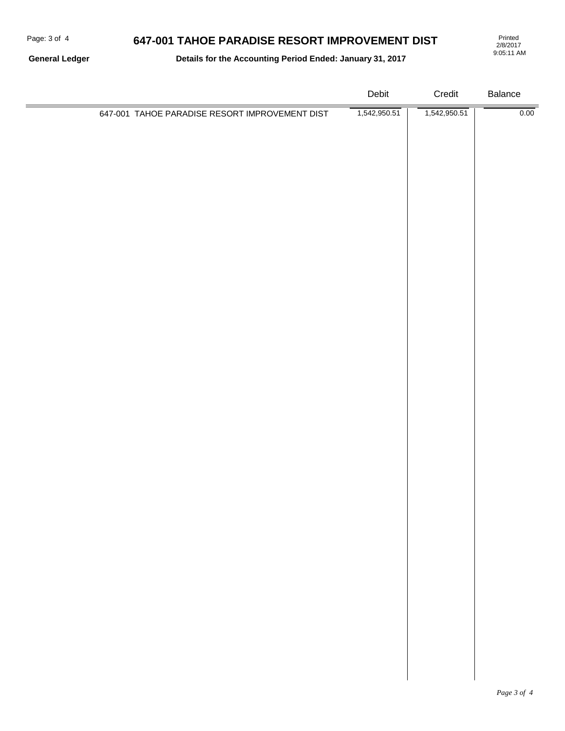**General Ledger**

# **647-001 TAHOE PARADISE RESORT IMPROVEMENT DIST**

**Details for the Accounting Period Ended: January 31, 2017**

2/8/2017 9:05:11 AM

|                                                | Debit        | Credit       | Balance     |
|------------------------------------------------|--------------|--------------|-------------|
| 647-001 TAHOE PARADISE RESORT IMPROVEMENT DIST | 1,542,950.51 | 1,542,950.51 | 0.00        |
|                                                |              |              |             |
|                                                |              |              |             |
|                                                |              |              |             |
|                                                |              |              |             |
|                                                |              |              |             |
|                                                |              |              |             |
|                                                |              |              |             |
|                                                |              |              |             |
|                                                |              |              |             |
|                                                |              |              |             |
|                                                |              |              |             |
|                                                |              |              |             |
|                                                |              |              |             |
|                                                |              |              |             |
|                                                |              |              |             |
|                                                |              |              |             |
|                                                |              |              |             |
|                                                |              |              |             |
|                                                |              |              |             |
|                                                |              |              |             |
|                                                |              |              |             |
|                                                |              |              |             |
|                                                |              |              |             |
|                                                |              |              |             |
|                                                |              |              |             |
|                                                |              |              |             |
|                                                |              |              |             |
|                                                |              |              | Page 3 of 4 |